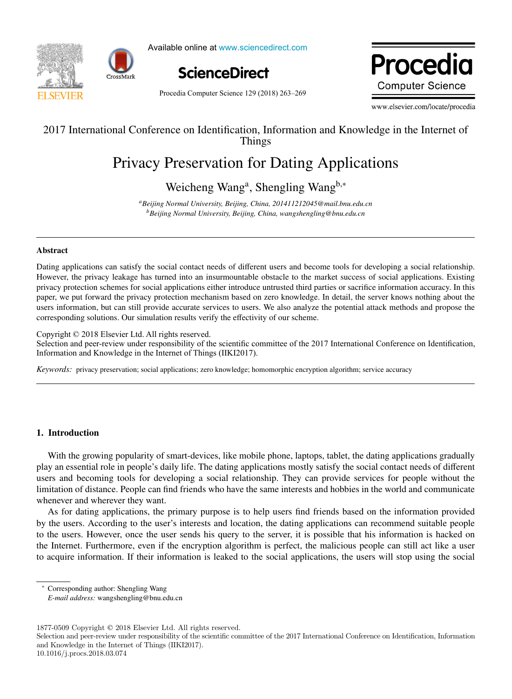

Available online at www.sciencedirect.com Available online at www.sciencedirect.com



Procedia Computer Science 129 (2018) 263-269

Procedia **Computer Science** www.elsevier.com/locate/procediate/procediate/procediate/procediate/procediate/procediate/procediate/procediate/

www.elsevier.com/locate/procedia

# 2017 International Conference on Identification, Information and Knowledge in the Internet of 2017 International Conference on Identification, Information and Knowledge in the Internet of Things Things

# Privacy Preservation for Dating Applications Privacy Preservation for Dating Applications

# Weicheng Wang<sup>a</sup>, Shengling Wang<sup>b,∗</sup>

*aBeijing Normal University, Beijing, China, 201411212045@mail.bnu.edu.cn* <sup>a</sup>Beijing Normal University, Beijing, China, 201411212045@mail.bnu.edu.cn *bBeijing Normal University, Beijing, China, wangshengling@bnu.edu.cn*

# Abstract Abstract

Dating applications can satisfy the social contact needs of different users and become tools for developing a social relationship. Dating applications can satisfy the social contact needs of different users and become tools for developing a social relationship. However, the privacy leakage has turned into an insurmountable obstacle to the market success of social applications. Existing privacy protection schemes for social applications either introduce untrusted third parties or sacrifice information accuracy. In this paper, we put forward the privacy protection mechanism based on zero knowledge. In detail, the server knows nothing about the users information, but can still provide accurate services to users. We also analyze the potential attack methods and propose the corresponding solutions. Our simulation results verify the effectivity of our scheme.

Copyright © 2018 Elsevier Ltd. All rights reserved. Copyright © 2018 Elsevier Ltd. All rights reserved.

Selection and peer-review under responsibility of the scientific committee of the 2017 International Conference on Identification, Information and Knowledge in the Internet of Things (IIKI2017). Information and Knowledge in the Internet of Things (IIKI2017). Information and Knowledge in the Internet of Things (IIKI2017). Selection and peer-review under responsibility of the scientific committee of the 2017 International Conference on Identification,

Keywords: privacy preservation; social applications; zero knowledge; homomorphic encryption algorithm; service accuracy

# 1. Introduction

With the growing popularity of smart-devices, like mobile phone, laptops, tablet, the dating applications gradually play an essential role in people's daily life. The dating applications mostly satisfy the social contact needs of different users and becoming tools for developing a social relationship. They can provide services for people without the limitation of distance. People can find friends who have the same interests and hobbies in the world and communicate whenever and wherever they want. limitation of distance. People can find friends who have the same interests and hobbies in the world and communicate

As for dating applications, the primary purpose is to help users find friends based on the information provided by the users. According to the user's interests and location, the dating applications can recommend suitable people to the users. However, once the user s interests and recalled, the dating approaches can recentlist statusted people the Internet. Furthermore, even if the encryption algorithm is perfect, the malicious people can still act like a user to acquire information. If their information is leaked to the social applications, the users will stop using the social to acquire information. If their information is leaked to the social applications, the users will stop using the social

Corresponding author: Shengling Wang *E-mail address:* wangshengling @bnu.edu.cn *E-mail address:* wangshengling@bnu.edu.cn

<sup>1877-0509</sup> Copyright  $\odot$  2018 Elsevier Ltd. All rights reserved.

Selection and peer-review under responsibility of the scientific committee of the 2017 International Conference on Identification, Information Selection and peer-review under responsibility of the scientific committee of t and Knowledge in the Internet of Things (IIKI2017). Knowledge in the Internet of Things (IIKI2017).

<sup>10.1016/</sup>j.procs.2018.03.074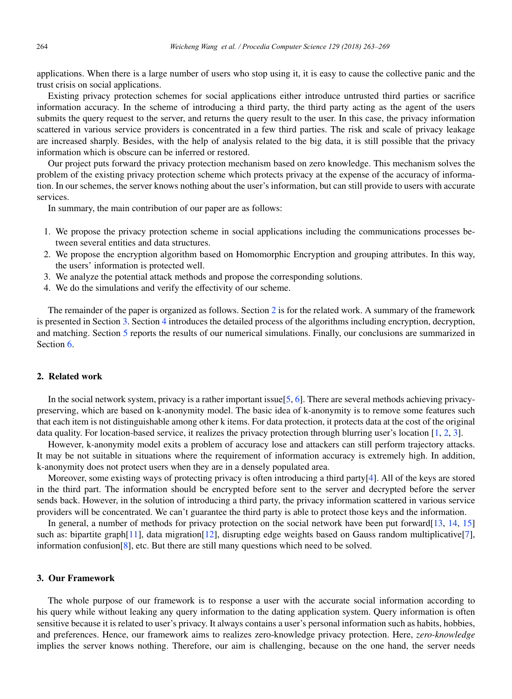applications. When there is a large number of users who stop using it, it is easy to cause the collective panic and the trust crisis on social applications.

Existing privacy protection schemes for social applications either introduce untrusted third parties or sacrifice information accuracy. In the scheme of introducing a third party, the third party acting as the agent of the users submits the query request to the server, and returns the query result to the user. In this case, the privacy information scattered in various service providers is concentrated in a few third parties. The risk and scale of privacy leakage are increased sharply. Besides, with the help of analysis related to the big data, it is still possible that the privacy information which is obscure can be inferred or restored.

Our project puts forward the privacy protection mechanism based on zero knowledge. This mechanism solves the problem of the existing privacy protection scheme which protects privacy at the expense of the accuracy of information. In our schemes, the server knows nothing about the user's information, but can still provide to users with accurate services.

In summary, the main contribution of our paper are as follows:

- 1. We propose the privacy protection scheme in social applications including the communications processes between several entities and data structures.
- 2. We propose the encryption algorithm based on Homomorphic Encryption and grouping attributes. In this way, the users' information is protected well.
- 3. We analyze the potential attack methods and propose the corresponding solutions.
- 4. We do the simulations and verify the effectivity of our scheme.

The remainder of the paper is organized as follows. Section 2 is for the related work. A summary of the framework is presented in Section 3. Section 4 introduces the detailed process of the algorithms including encryption, decryption, and matching. Section 5 reports the results of our numerical simulations. Finally, our conclusions are summarized in Section 6.

# 2. Related work

In the social network system, privacy is a rather important issue $[5, 6]$ . There are several methods achieving privacypreserving, which are based on k-anonymity model. The basic idea of k-anonymity is to remove some features such that each item is not distinguishable among other k items. For data protection, it protects data at the cost of the original data quality. For location-based service, it realizes the privacy protection through blurring user's location [1, 2, 3].

However, k-anonymity model exits a problem of accuracy lose and attackers can still perform trajectory attacks. It may be not suitable in situations where the requirement of information accuracy is extremely high. In addition, k-anonymity does not protect users when they are in a densely populated area.

Moreover, some existing ways of protecting privacy is often introducing a third party[4]. All of the keys are stored in the third part. The information should be encrypted before sent to the server and decrypted before the server sends back. However, in the solution of introducing a third party, the privacy information scattered in various service providers will be concentrated. We can't guarantee the third party is able to protect those keys and the information.

In general, a number of methods for privacy protection on the social network have been put forward[13, 14, 15] such as: bipartite graph $[11]$ , data migration $[12]$ , disrupting edge weights based on Gauss random multiplicative $[7]$ , information confusion $[8]$ , etc. But there are still many questions which need to be solved.

### 3. Our Framework

The whole purpose of our framework is to response a user with the accurate social information according to his query while without leaking any query information to the dating application system. Query information is often sensitive because it is related to user's privacy. It always contains a user's personal information such as habits, hobbies, and preferences. Hence, our framework aims to realizes zero-knowledge privacy protection. Here, *zero-knowledge* implies the server knows nothing. Therefore, our aim is challenging, because on the one hand, the server needs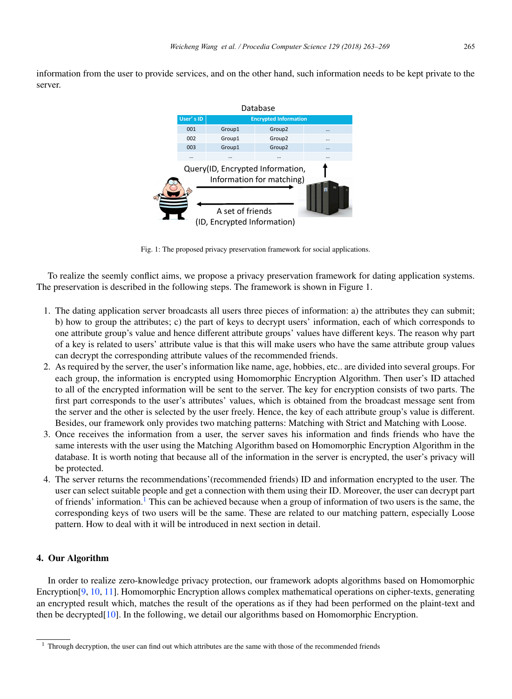information from the user to provide services, and on the other hand, such information needs to be kept private to the server.

|                                                                                                                  |           |                              | Database           |          |  |  |
|------------------------------------------------------------------------------------------------------------------|-----------|------------------------------|--------------------|----------|--|--|
|                                                                                                                  | User's ID | <b>Encrypted Information</b> |                    |          |  |  |
|                                                                                                                  | 001       | Group1                       | Group <sub>2</sub> |          |  |  |
|                                                                                                                  | 002       | Group1                       | Group <sub>2</sub> |          |  |  |
|                                                                                                                  | 003       | Group1                       | Group <sub>2</sub> | $\cdots$ |  |  |
|                                                                                                                  | $\cdots$  | $\cdots$                     |                    |          |  |  |
| Query(ID, Encrypted Information,<br>Information for matching)<br>A set of friends<br>(ID, Encrypted Information) |           |                              |                    |          |  |  |

Fig. 1: The proposed privacy preservation framework for social applications.

To realize the seemly conflict aims, we propose a privacy preservation framework for dating application systems. The preservation is described in the following steps. The framework is shown in Figure 1.

- 1. The dating application server broadcasts all users three pieces of information: a) the attributes they can submit; b) how to group the attributes; c) the part of keys to decrypt users' information, each of which corresponds to one attribute group's value and hence different attribute groups' values have different keys. The reason why part of a key is related to users' attribute value is that this will make users who have the same attribute group values can decrypt the corresponding attribute values of the recommended friends.
- 2. As required by the server, the user's information like name, age, hobbies, etc.. are divided into several groups. For each group, the information is encrypted using Homomorphic Encryption Algorithm. Then user's ID attached to all of the encrypted information will be sent to the server. The key for encryption consists of two parts. The first part corresponds to the user's attributes' values, which is obtained from the broadcast message sent from the server and the other is selected by the user freely. Hence, the key of each attribute group's value is different. Besides, our framework only provides two matching patterns: Matching with Strict and Matching with Loose.
- 3. Once receives the information from a user, the server saves his information and finds friends who have the same interests with the user using the Matching Algorithm based on Homomorphic Encryption Algorithm in the database. It is worth noting that because all of the information in the server is encrypted, the user's privacy will be protected.
- 4. The server returns the recommendations'(recommended friends) ID and information encrypted to the user. The user can select suitable people and get a connection with them using their ID. Moreover, the user can decrypt part of friends' information.<sup>1</sup> This can be achieved because when a group of information of two users is the same, the corresponding keys of two users will be the same. These are related to our matching pattern, especially Loose pattern. How to deal with it will be introduced in next section in detail.

# 4. Our Algorithm

In order to realize zero-knowledge privacy protection, our framework adopts algorithms based on Homomorphic Encryption<sup>[9</sup>, 10, 11]. Homomorphic Encryption allows complex mathematical operations on cipher-texts, generating an encrypted result which, matches the result of the operations as if they had been performed on the plaint-text and then be decrypted $[10]$ . In the following, we detail our algorithms based on Homomorphic Encryption.

 $1$  Through decryption, the user can find out which attributes are the same with those of the recommended friends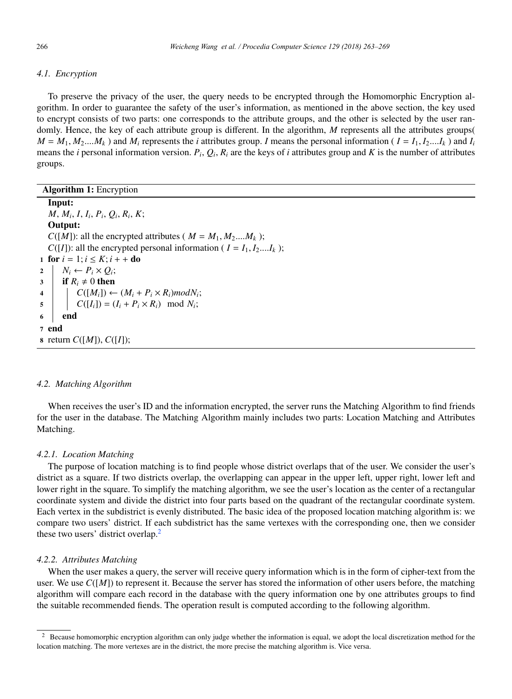#### *4.1. Encryption*

To preserve the privacy of the user, the query needs to be encrypted through the Homomorphic Encryption algorithm. In order to guarantee the safety of the user's information, as mentioned in the above section, the key used to encrypt consists of two parts: one corresponds to the attribute groups, and the other is selected by the user randomly. Hence, the key of each attribute group is different. In the algorithm, M represents all the attributes groups(  $M = M_1, M_2,..., M_k$  ) and  $M_i$  represents the *i* attributes group. *I* means the personal information ( $I = I_1, I_2,...I_k$ ) and  $I_i$ means the *i* personal information version.  $P_i$ ,  $Q_i$ ,  $R_i$  are the keys of *i* attributes group and *K* is the number of attributes groups.

| <b>Algorithm 1:</b> Encryption                                                                                            |  |  |  |  |  |
|---------------------------------------------------------------------------------------------------------------------------|--|--|--|--|--|
| Input:                                                                                                                    |  |  |  |  |  |
| $M, M_i, I, I_i, P_i, O_i, R_i, K;$                                                                                       |  |  |  |  |  |
| Output:                                                                                                                   |  |  |  |  |  |
| $C([M])$ : all the encrypted attributes ( $M = M_1, M_2,M_k$ );                                                           |  |  |  |  |  |
| $C([I])$ : all the encrypted personal information ( $I = I_1, I_2,I_k$ );                                                 |  |  |  |  |  |
| 1 for $i = 1; i \leq K; i + +$ do                                                                                         |  |  |  |  |  |
| $N_i \leftarrow P_i \times Q_i;$<br>$\overline{2}$                                                                        |  |  |  |  |  |
| <b>if</b> $R_i \neq 0$ then<br>3 <sup>1</sup>                                                                             |  |  |  |  |  |
| 4                                                                                                                         |  |  |  |  |  |
| $C([M_i]) \leftarrow (M_i + P_i \times R_i) \text{mod} N_i;$<br>$C([I_i]) = (I_i + P_i \times R_i) \mod N_i;$<br>$5 \mid$ |  |  |  |  |  |
| end                                                                                                                       |  |  |  |  |  |
| 7 end                                                                                                                     |  |  |  |  |  |
| <b>8</b> return $C([M]), C([I]);$                                                                                         |  |  |  |  |  |

#### *4.2. Matching Algorithm*

When receives the user's ID and the information encrypted, the server runs the Matching Algorithm to find friends for the user in the database. The Matching Algorithm mainly includes two parts: Location Matching and Attributes Matching.

#### *4.2.1. Location Matching*

The purpose of location matching is to find people whose district overlaps that of the user. We consider the user's district as a square. If two districts overlap, the overlapping can appear in the upper left, upper right, lower left and lower right in the square. To simplify the matching algorithm, we see the user's location as the center of a rectangular coordinate system and divide the district into four parts based on the quadrant of the rectangular coordinate system. Each vertex in the subdistrict is evenly distributed. The basic idea of the proposed location matching algorithm is: we compare two users' district. If each subdistrict has the same vertexes with the corresponding one, then we consider these two users' district overlap.<sup>2</sup>

### *4.2.2. Attributes Matching*

When the user makes a query, the server will receive query information which is in the form of cipher-text from the user. We use  $C([M])$  to represent it. Because the server has stored the information of other users before, the matching algorithm will compare each record in the database with the query information one by one attributes groups to find the suitable recommended fiends. The operation result is computed according to the following algorithm.

<sup>2</sup> Because homomorphic encryption algorithm can only judge whether the information is equal, we adopt the local discretization method for the location matching. The more vertexes are in the district, the more precise the matching algorithm is. Vice versa.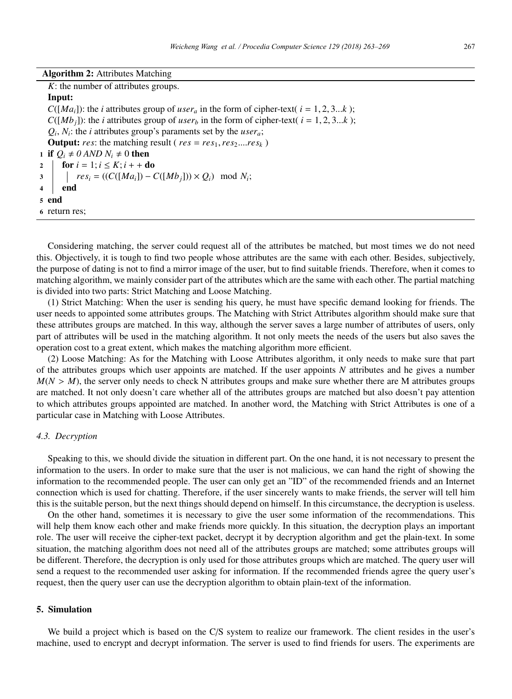| <b>Algorithm 2: Attributes Matching</b> |  |  |  |
|-----------------------------------------|--|--|--|
|-----------------------------------------|--|--|--|

*K*: the number of attributes groups.

Input:  $C([Ma_i])$ : the *i* attributes group of *user<sub>a</sub>* in the form of cipher-text(  $i = 1, 2, 3...k$  );  $C([Mb<sub>i</sub>]):$  the *i* attributes group of *user<sub>b</sub>* in the form of cipher-text(  $i = 1, 2, 3...k$  );  $Q_i$ ,  $N_i$ : the *i* attributes group's paraments set by the *user<sub>a</sub>*; **Output:** *res*: the matching result ( $res = res_1, res_2, \ldots res_k$ ) 1 if  $Q_i \neq 0$  *AND N<sub>i</sub>*  $\neq 0$  then 2  $\left\{\begin{array}{c} \textbf{for } i = 1; i \leq K; i + + \textbf{do} \\ 3 \end{array}\right.$   $\left\{\begin{array}{c} \textbf{for } i = 1; i \leq K; i + + \textbf{do} \\ res_i = ((C(\lfloor Ma_i \rfloor) - C)\rfloor) \end{array}\right.$  $\begin{array}{c|c} 3 & \text{area} & \text{area} \\ 4 & \text{end} \end{array}$  *res<sub>i</sub>* = ((*C*([*Ma<sub>i</sub>*]) – *C*([*Mb<sub>j</sub>*])) × *Q<sub>i</sub>*) mod *N<sub>i</sub>*; end 5 end 6 return res;

Considering matching, the server could request all of the attributes be matched, but most times we do not need this. Objectively, it is tough to find two people whose attributes are the same with each other. Besides, subjectively, the purpose of dating is not to find a mirror image of the user, but to find suitable friends. Therefore, when it comes to matching algorithm, we mainly consider part of the attributes which are the same with each other. The partial matching is divided into two parts: Strict Matching and Loose Matching.

(1) Strict Matching: When the user is sending his query, he must have specific demand looking for friends. The user needs to appointed some attributes groups. The Matching with Strict Attributes algorithm should make sure that these attributes groups are matched. In this way, although the server saves a large number of attributes of users, only part of attributes will be used in the matching algorithm. It not only meets the needs of the users but also saves the operation cost to a great extent, which makes the matching algorithm more efficient.

(2) Loose Matching: As for the Matching with Loose Attributes algorithm, it only needs to make sure that part of the attributes groups which user appoints are matched. If the user appoints *N* attributes and he gives a number  $M(N > M)$ , the server only needs to check N attributes groups and make sure whether there are M attributes groups are matched. It not only doesn't care whether all of the attributes groups are matched but also doesn't pay attention to which attributes groups appointed are matched. In another word, the Matching with Strict Attributes is one of a particular case in Matching with Loose Attributes.

# *4.3. Decryption*

Speaking to this, we should divide the situation in different part. On the one hand, it is not necessary to present the information to the users. In order to make sure that the user is not malicious, we can hand the right of showing the information to the recommended people. The user can only get an "ID" of the recommended friends and an Internet connection which is used for chatting. Therefore, if the user sincerely wants to make friends, the server will tell him this is the suitable person, but the next things should depend on himself. In this circumstance, the decryption is useless.

On the other hand, sometimes it is necessary to give the user some information of the recommendations. This will help them know each other and make friends more quickly. In this situation, the decryption plays an important role. The user will receive the cipher-text packet, decrypt it by decryption algorithm and get the plain-text. In some situation, the matching algorithm does not need all of the attributes groups are matched; some attributes groups will be different. Therefore, the decryption is only used for those attributes groups which are matched. The query user will send a request to the recommended user asking for information. If the recommended friends agree the query user's request, then the query user can use the decryption algorithm to obtain plain-text of the information.

## 5. Simulation

We build a project which is based on the C/S system to realize our framework. The client resides in the user's machine, used to encrypt and decrypt information. The server is used to find friends for users. The experiments are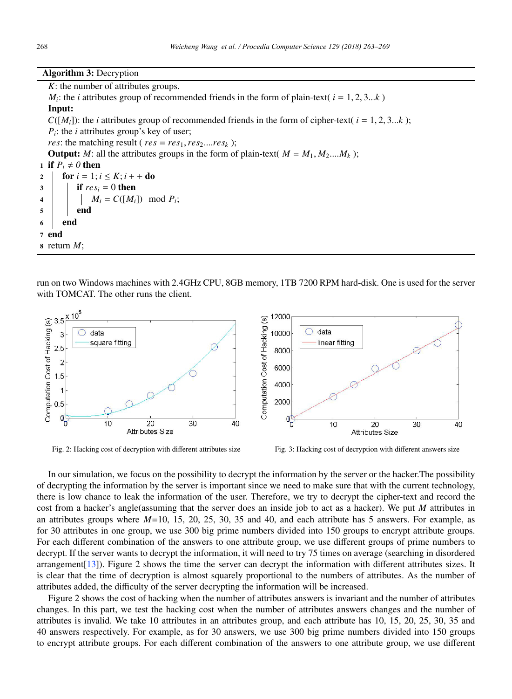Algorithm 3: Decryption

*K*: the number of attributes groups.

 $M_i$ : the *i* attributes group of recommended friends in the form of plain-text(  $i = 1, 2, 3...k$ ) Input:  $C([M_i])$ : the *i* attributes group of recommended friends in the form of cipher-text(  $i = 1, 2, 3...k$  ); *P<sub>i</sub>*: the *i* attributes group's key of user; *res*: the matching result ( $res = res_1, res_2, \ldots, res_k$ ); **Output:** *M*: all the attributes groups in the form of plain-text(  $M = M_1, M_2,...,M_k$ ); 1 if  $P_i \neq 0$  then

2  $\left\{\begin{array}{c}\n\mathbf{for } i = 1; i \leq K; i + \mathbf{do} \\
\mathbf{if } res_i = 0 \text{ then}\n\end{array}\right.$ if  $res_i = 0$  then 4 *M<sub>i</sub>* =  $C([M_i])$  mod  $P_i$ ;  $5 \mid \cdot \cdot \cdot$  end  $6$  end <sup>7</sup> end <sup>8</sup> return *M*;

run on two Windows machines with 2.4GHz CPU, 8GB memory, 1TB 7200 RPM hard-disk. One is used for the server with TOMCAT. The other runs the client.



Fig. 2: Hacking cost of decryption with different attributes size Fig. 3: Hacking cost of decryption with different answers size

In our simulation, we focus on the possibility to decrypt the information by the server or the hacker.The possibility of decrypting the information by the server is important since we need to make sure that with the current technology, there is low chance to leak the information of the user. Therefore, we try to decrypt the cipher-text and record the cost from a hacker's angle(assuming that the server does an inside job to act as a hacker). We put *M* attributes in an attributes groups where *M*=10, 15, 20, 25, 30, 35 and 40, and each attribute has 5 answers. For example, as for 30 attributes in one group, we use 300 big prime numbers divided into 150 groups to encrypt attribute groups. For each different combination of the answers to one attribute group, we use different groups of prime numbers to decrypt. If the server wants to decrypt the information, it will need to try 75 times on average (searching in disordered arrangement[13]). Figure 2 shows the time the server can decrypt the information with different attributes sizes. It is clear that the time of decryption is almost squarely proportional to the numbers of attributes. As the number of attributes added, the difficulty of the server decrypting the information will be increased.

Figure 2 shows the cost of hacking when the number of attributes answers is invariant and the number of attributes changes. In this part, we test the hacking cost when the number of attributes answers changes and the number of attributes is invalid. We take 10 attributes in an attributes group, and each attribute has 10, 15, 20, 25, 30, 35 and 40 answers respectively. For example, as for 30 answers, we use 300 big prime numbers divided into 150 groups to encrypt attribute groups. For each different combination of the answers to one attribute group, we use different